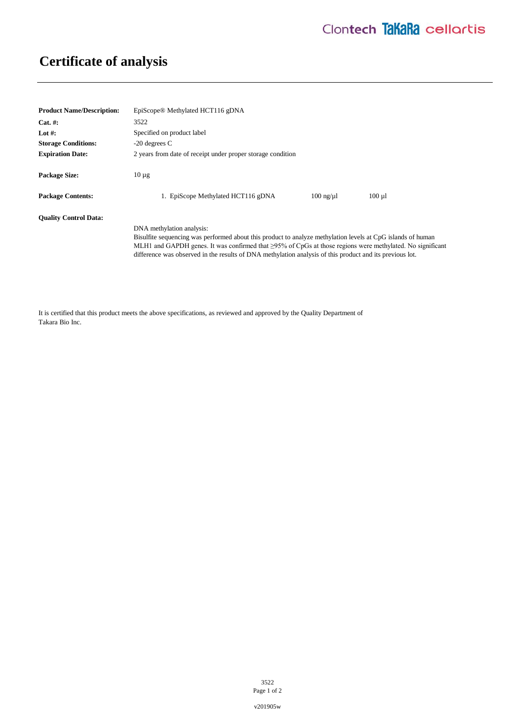## **Certificate of analysis**

| <b>Product Name/Description:</b> | EpiScope <sup>®</sup> Methylated HCT116 gDNA                                                                                                                                                                                                                                                                                                                            |                      |             |
|----------------------------------|-------------------------------------------------------------------------------------------------------------------------------------------------------------------------------------------------------------------------------------------------------------------------------------------------------------------------------------------------------------------------|----------------------|-------------|
| $Cat. \#:$                       | 3522                                                                                                                                                                                                                                                                                                                                                                    |                      |             |
| Lot #:                           | Specified on product label                                                                                                                                                                                                                                                                                                                                              |                      |             |
| <b>Storage Conditions:</b>       | $-20$ degrees C                                                                                                                                                                                                                                                                                                                                                         |                      |             |
| <b>Expiration Date:</b>          | 2 years from date of receipt under proper storage condition                                                                                                                                                                                                                                                                                                             |                      |             |
| <b>Package Size:</b>             | $10 \mu$ g                                                                                                                                                                                                                                                                                                                                                              |                      |             |
| <b>Package Contents:</b>         | 1. EpiScope Methylated HCT116 gDNA                                                                                                                                                                                                                                                                                                                                      | $100 \text{ ng}/\mu$ | $100 \mu l$ |
| <b>Ouality Control Data:</b>     | DNA methylation analysis:<br>Bisulfite sequencing was performed about this product to analyze methylation levels at CpG islands of human<br>MLH1 and GAPDH genes. It was confirmed that $\geq$ 95% of CpGs at those regions were methylated. No significant<br>difference was observed in the results of DNA methylation analysis of this product and its previous lot. |                      |             |

It is certified that this product meets the above specifications, as reviewed and approved by the Quality Department of Takara Bio Inc.

> 3522 Page 1 of 2

v201905w